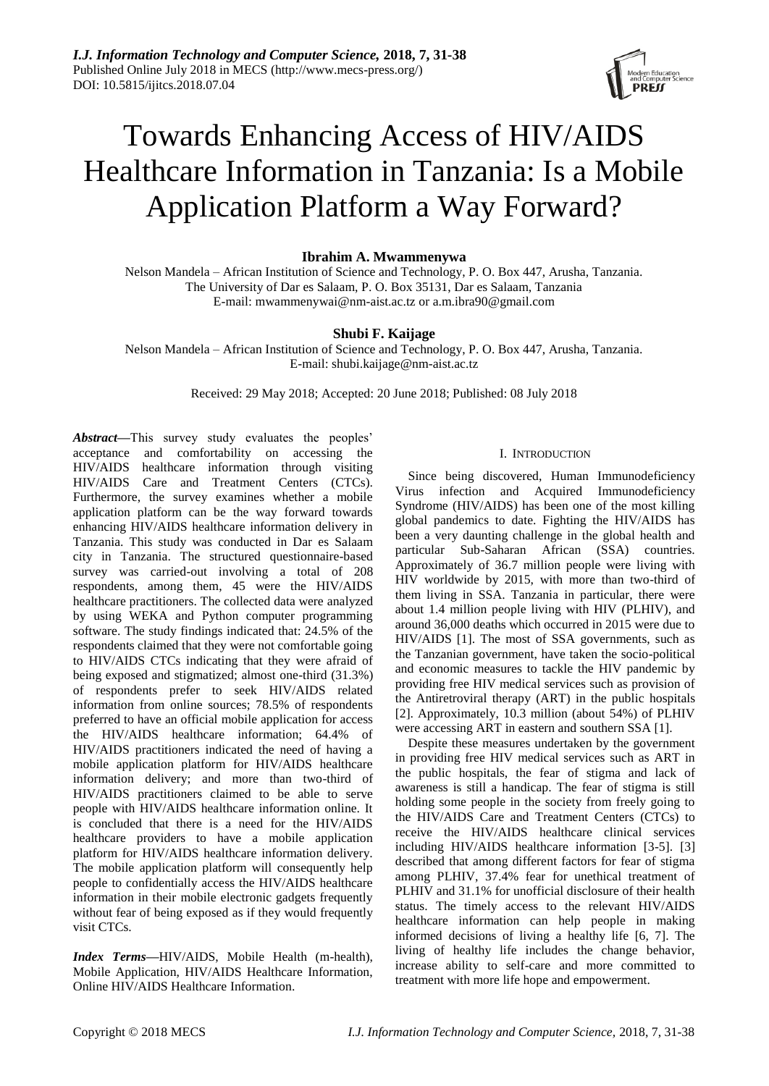

# Towards Enhancing Access of HIV/AIDS Healthcare Information in Tanzania: Is a Mobile Application Platform a Way Forward?

## **Ibrahim A. Mwammenywa**

Nelson Mandela – African Institution of Science and Technology, P. O. Box 447, Arusha, Tanzania. The University of Dar es Salaam, P. O. Box 35131, Dar es Salaam, Tanzania E-mail: mwammenywai@nm-aist.ac.tz or a.m.ibra90@gmail.com

# **Shubi F. Kaijage**

Nelson Mandela – African Institution of Science and Technology, P. O. Box 447, Arusha, Tanzania. E-mail: shubi.kaijage@nm-aist.ac.tz

Received: 29 May 2018; Accepted: 20 June 2018; Published: 08 July 2018

*Abstract***—**This survey study evaluates the peoples' acceptance and comfortability on accessing the HIV/AIDS healthcare information through visiting HIV/AIDS Care and Treatment Centers (CTCs). Furthermore, the survey examines whether a mobile application platform can be the way forward towards enhancing HIV/AIDS healthcare information delivery in Tanzania. This study was conducted in Dar es Salaam city in Tanzania. The structured questionnaire-based survey was carried-out involving a total of 208 respondents, among them, 45 were the HIV/AIDS healthcare practitioners. The collected data were analyzed by using WEKA and Python computer programming software. The study findings indicated that: 24.5% of the respondents claimed that they were not comfortable going to HIV/AIDS CTCs indicating that they were afraid of being exposed and stigmatized; almost one-third (31.3%) of respondents prefer to seek HIV/AIDS related information from online sources; 78.5% of respondents preferred to have an official mobile application for access the HIV/AIDS healthcare information; 64.4% of HIV/AIDS practitioners indicated the need of having a mobile application platform for HIV/AIDS healthcare information delivery; and more than two-third of HIV/AIDS practitioners claimed to be able to serve people with HIV/AIDS healthcare information online. It is concluded that there is a need for the HIV/AIDS healthcare providers to have a mobile application platform for HIV/AIDS healthcare information delivery. The mobile application platform will consequently help people to confidentially access the HIV/AIDS healthcare information in their mobile electronic gadgets frequently without fear of being exposed as if they would frequently visit CTCs.

*Index Terms***—**HIV/AIDS, Mobile Health (m-health), Mobile Application, HIV/AIDS Healthcare Information, Online HIV/AIDS Healthcare Information.

#### I. INTRODUCTION

Since being discovered, Human Immunodeficiency Virus infection and Acquired Immunodeficiency Syndrome (HIV/AIDS) has been one of the most killing global pandemics to date. Fighting the HIV/AIDS has been a very daunting challenge in the global health and particular Sub-Saharan African (SSA) countries. Approximately of 36.7 million people were living with HIV worldwide by 2015, with more than two-third of them living in SSA. Tanzania in particular, there were about 1.4 million people living with HIV (PLHIV), and around 36,000 deaths which occurred in 2015 were due to HIV/AIDS [1]. The most of SSA governments, such as the Tanzanian government, have taken the socio-political and economic measures to tackle the HIV pandemic by providing free HIV medical services such as provision of the Antiretroviral therapy (ART) in the public hospitals [2]. Approximately, 10.3 million (about 54%) of PLHIV were accessing ART in eastern and southern SSA [1].

Despite these measures undertaken by the government in providing free HIV medical services such as ART in the public hospitals, the fear of stigma and lack of awareness is still a handicap. The fear of stigma is still holding some people in the society from freely going to the HIV/AIDS Care and Treatment Centers (CTCs) to receive the HIV/AIDS healthcare clinical services including HIV/AIDS healthcare information [3-5]. [3] described that among different factors for fear of stigma among PLHIV, 37.4% fear for unethical treatment of PLHIV and 31.1% for unofficial disclosure of their health status. The timely access to the relevant HIV/AIDS healthcare information can help people in making informed decisions of living a healthy life [6, 7]. The living of healthy life includes the change behavior, increase ability to self-care and more committed to treatment with more life hope and empowerment.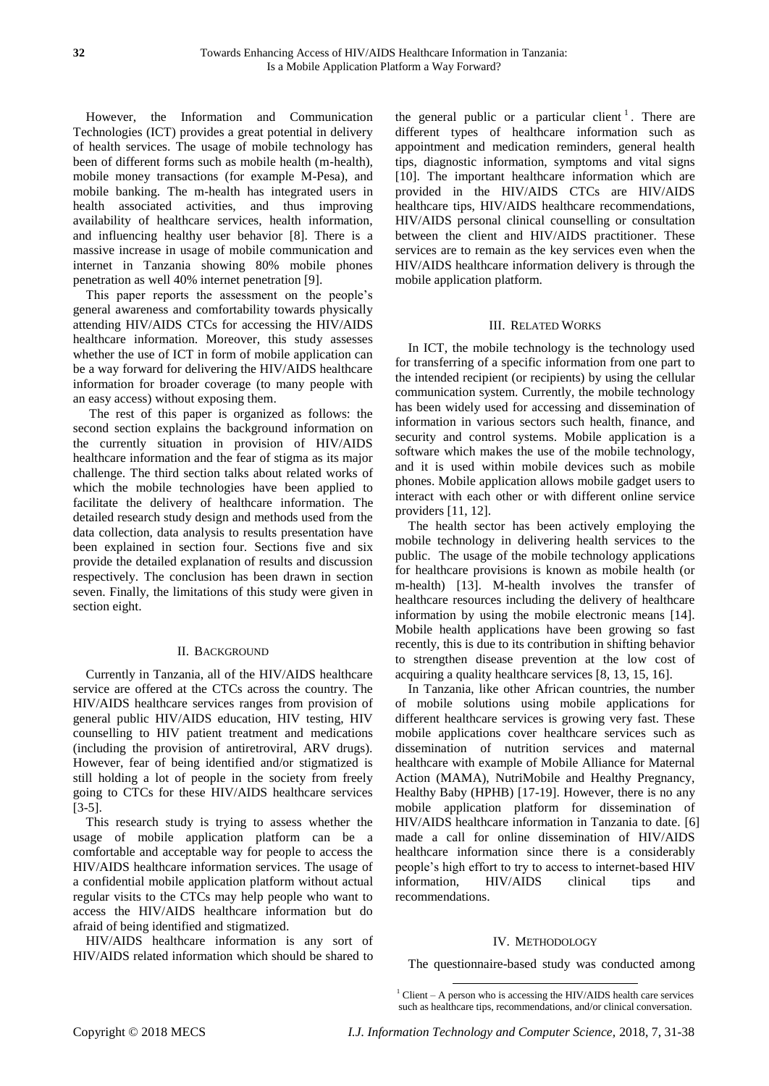However, the Information and Communication Technologies (ICT) provides a great potential in delivery of health services. The usage of mobile technology has been of different forms such as mobile health (m-health), mobile money transactions (for example M-Pesa), and mobile banking. The m-health has integrated users in health associated activities, and thus improving availability of healthcare services, health information, and influencing healthy user behavior [8]. There is a massive increase in usage of mobile communication and internet in Tanzania showing 80% mobile phones penetration as well 40% internet penetration [9].

This paper reports the assessment on the people's general awareness and comfortability towards physically attending HIV/AIDS CTCs for accessing the HIV/AIDS healthcare information. Moreover, this study assesses whether the use of ICT in form of mobile application can be a way forward for delivering the HIV/AIDS healthcare information for broader coverage (to many people with an easy access) without exposing them.

The rest of this paper is organized as follows: the second section explains the background information on the currently situation in provision of HIV/AIDS healthcare information and the fear of stigma as its major challenge. The third section talks about related works of which the mobile technologies have been applied to facilitate the delivery of healthcare information. The detailed research study design and methods used from the data collection, data analysis to results presentation have been explained in section four. Sections five and six provide the detailed explanation of results and discussion respectively. The conclusion has been drawn in section seven. Finally, the limitations of this study were given in section eight.

# II. BACKGROUND

Currently in Tanzania, all of the HIV/AIDS healthcare service are offered at the CTCs across the country. The HIV/AIDS healthcare services ranges from provision of general public HIV/AIDS education, HIV testing, HIV counselling to HIV patient treatment and medications (including the provision of antiretroviral, ARV drugs). However, fear of being identified and/or stigmatized is still holding a lot of people in the society from freely going to CTCs for these HIV/AIDS healthcare services [3-5].

This research study is trying to assess whether the usage of mobile application platform can be a comfortable and acceptable way for people to access the HIV/AIDS healthcare information services. The usage of a confidential mobile application platform without actual regular visits to the CTCs may help people who want to access the HIV/AIDS healthcare information but do afraid of being identified and stigmatized.

HIV/AIDS healthcare information is any sort of HIV/AIDS related information which should be shared to

the general public or a particular client<sup>1</sup>. There are different types of healthcare information such as appointment and medication reminders, general health tips, diagnostic information, symptoms and vital signs [10]. The important healthcare information which are provided in the HIV/AIDS CTCs are HIV/AIDS healthcare tips, HIV/AIDS healthcare recommendations, HIV/AIDS personal clinical counselling or consultation between the client and HIV/AIDS practitioner. These services are to remain as the key services even when the HIV/AIDS healthcare information delivery is through the mobile application platform.

#### III. RELATED WORKS

In ICT, the mobile technology is the technology used for transferring of a specific information from one part to the intended recipient (or recipients) by using the cellular communication system. Currently, the mobile technology has been widely used for accessing and dissemination of information in various sectors such health, finance, and security and control systems. Mobile application is a software which makes the use of the mobile technology, and it is used within mobile devices such as mobile phones. Mobile application allows mobile gadget users to interact with each other or with different online service providers [11, 12].

The health sector has been actively employing the mobile technology in delivering health services to the public. The usage of the mobile technology applications for healthcare provisions is known as mobile health (or m-health) [13]. M-health involves the transfer of healthcare resources including the delivery of healthcare information by using the mobile electronic means [14]. Mobile health applications have been growing so fast recently, this is due to its contribution in shifting behavior to strengthen disease prevention at the low cost of acquiring a quality healthcare services [8, 13, 15, 16].

In Tanzania, like other African countries, the number of mobile solutions using mobile applications for different healthcare services is growing very fast. These mobile applications cover healthcare services such as dissemination of nutrition services and maternal healthcare with example of Mobile Alliance for Maternal Action (MAMA), NutriMobile and Healthy Pregnancy, Healthy Baby (HPHB) [17-19]. However, there is no any mobile application platform for dissemination of HIV/AIDS healthcare information in Tanzania to date. [6] made a call for online dissemination of HIV/AIDS healthcare information since there is a considerably people's high effort to try to access to internet-based HIV information, HIV/AIDS clinical tips and recommendations.

#### IV. METHODOLOGY

The questionnaire-based study was conducted among

<sup>1</sup>  $1$  Client – A person who is accessing the HIV/AIDS health care services such as healthcare tips, recommendations, and/or clinical conversation.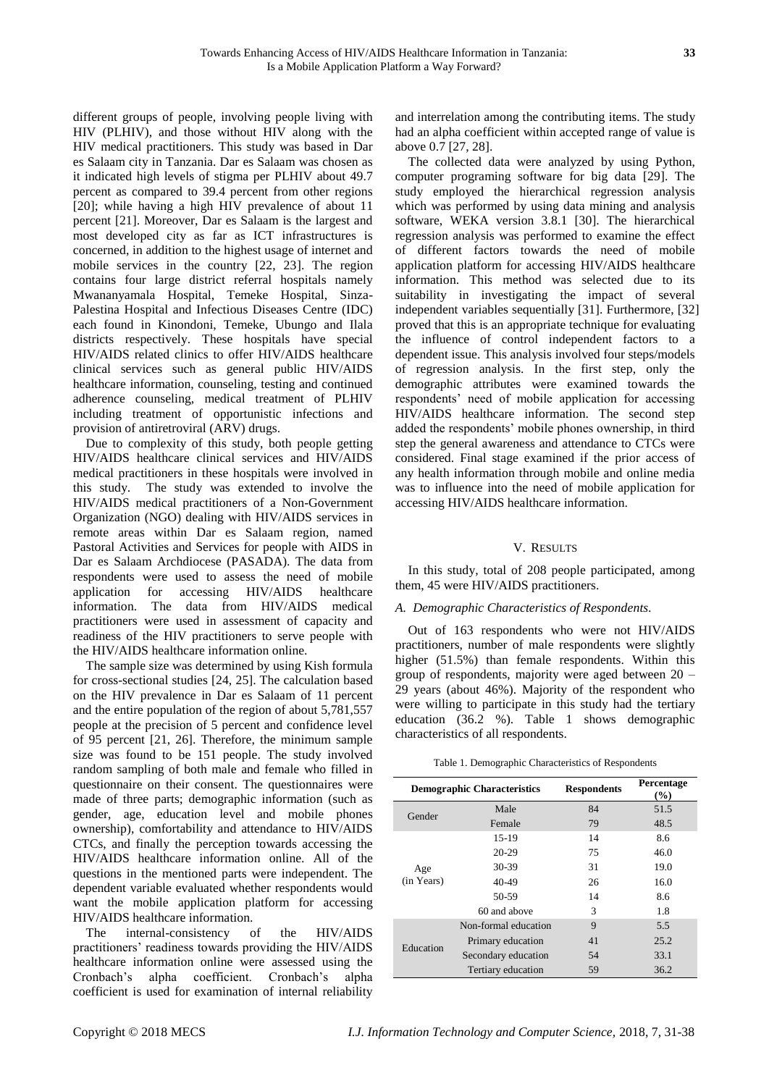different groups of people, involving people living with HIV (PLHIV), and those without HIV along with the HIV medical practitioners. This study was based in Dar es Salaam city in Tanzania. Dar es Salaam was chosen as it indicated high levels of stigma per PLHIV about 49.7 percent as compared to 39.4 percent from other regions [20]; while having a high HIV prevalence of about 11 percent [21]. Moreover, Dar es Salaam is the largest and most developed city as far as ICT infrastructures is concerned, in addition to the highest usage of internet and mobile services in the country [22, 23]. The region contains four large district referral hospitals namely Mwananyamala Hospital, Temeke Hospital, Sinza-Palestina Hospital and Infectious Diseases Centre (IDC) each found in Kinondoni, Temeke, Ubungo and Ilala districts respectively. These hospitals have special HIV/AIDS related clinics to offer HIV/AIDS healthcare clinical services such as general public HIV/AIDS healthcare information, counseling, testing and continued adherence counseling, medical treatment of PLHIV including treatment of opportunistic infections and provision of antiretroviral (ARV) drugs.

Due to complexity of this study, both people getting HIV/AIDS healthcare clinical services and HIV/AIDS medical practitioners in these hospitals were involved in this study. The study was extended to involve the HIV/AIDS medical practitioners of a Non-Government Organization (NGO) dealing with HIV/AIDS services in remote areas within Dar es Salaam region, named Pastoral Activities and Services for people with AIDS in Dar es Salaam Archdiocese (PASADA). The data from respondents were used to assess the need of mobile application for accessing HIV/AIDS healthcare information. The data from HIV/AIDS medical practitioners were used in assessment of capacity and readiness of the HIV practitioners to serve people with the HIV/AIDS healthcare information online.

The sample size was determined by using Kish formula for cross-sectional studies [24, 25]. The calculation based on the HIV prevalence in Dar es Salaam of 11 percent and the entire population of the region of about 5,781,557 people at the precision of 5 percent and confidence level of 95 percent [21, 26]. Therefore, the minimum sample size was found to be 151 people. The study involved random sampling of both male and female who filled in questionnaire on their consent. The questionnaires were made of three parts; demographic information (such as gender, age, education level and mobile phones ownership), comfortability and attendance to HIV/AIDS CTCs, and finally the perception towards accessing the HIV/AIDS healthcare information online. All of the questions in the mentioned parts were independent. The dependent variable evaluated whether respondents would want the mobile application platform for accessing HIV/AIDS healthcare information.

The internal-consistency of the HIV/AIDS practitioners' readiness towards providing the HIV/AIDS healthcare information online were assessed using the Cronbach's alpha coefficient. Cronbach's alpha coefficient is used for examination of internal reliability

and interrelation among the contributing items. The study had an alpha coefficient within accepted range of value is above 0.7 [27, 28].

The collected data were analyzed by using Python, computer programing software for big data [29]. The study employed the hierarchical regression analysis which was performed by using data mining and analysis software, WEKA version 3.8.1 [30]. The hierarchical regression analysis was performed to examine the effect of different factors towards the need of mobile application platform for accessing HIV/AIDS healthcare information. This method was selected due to its suitability in investigating the impact of several independent variables sequentially [31]. Furthermore, [32] proved that this is an appropriate technique for evaluating the influence of control independent factors to a dependent issue. This analysis involved four steps/models of regression analysis. In the first step, only the demographic attributes were examined towards the respondents' need of mobile application for accessing HIV/AIDS healthcare information. The second step added the respondents' mobile phones ownership, in third step the general awareness and attendance to CTCs were considered. Final stage examined if the prior access of any health information through mobile and online media was to influence into the need of mobile application for accessing HIV/AIDS healthcare information.

#### V. RESULTS

In this study, total of 208 people participated, among them, 45 were HIV/AIDS practitioners.

#### *A. Demographic Characteristics of Respondents.*

Out of 163 respondents who were not HIV/AIDS practitioners, number of male respondents were slightly higher (51.5%) than female respondents. Within this group of respondents, majority were aged between 20 – 29 years (about 46%). Majority of the respondent who were willing to participate in this study had the tertiary education (36.2 %). Table 1 shows demographic characteristics of all respondents.

| Table 1. Demographic Characteristics of Respondents |  |  |
|-----------------------------------------------------|--|--|
|                                                     |  |  |

| <b>Demographic Characteristics</b> |                      | <b>Respondents</b> | Percentage<br>(%) |
|------------------------------------|----------------------|--------------------|-------------------|
| Gender                             | Male                 | 84                 | 51.5              |
|                                    | Female               | 79                 | 48.5              |
|                                    | $15-19$              | 14                 | 8.6               |
|                                    | $20-29$              | 75                 | 46.0              |
| Age<br>(in Years)                  | 30-39                | 31                 | 19.0              |
|                                    | 40-49                | 26                 | 16.0              |
|                                    | 50-59                | 14                 | 8.6               |
|                                    | 60 and above         | 3                  | 1.8               |
|                                    | Non-formal education | $\mathbf Q$        | 5.5               |
| Education                          | Primary education    | 41                 | 25.2              |
|                                    | Secondary education  | 54                 | 33.1              |
|                                    | Tertiary education   | 59                 | 36.2              |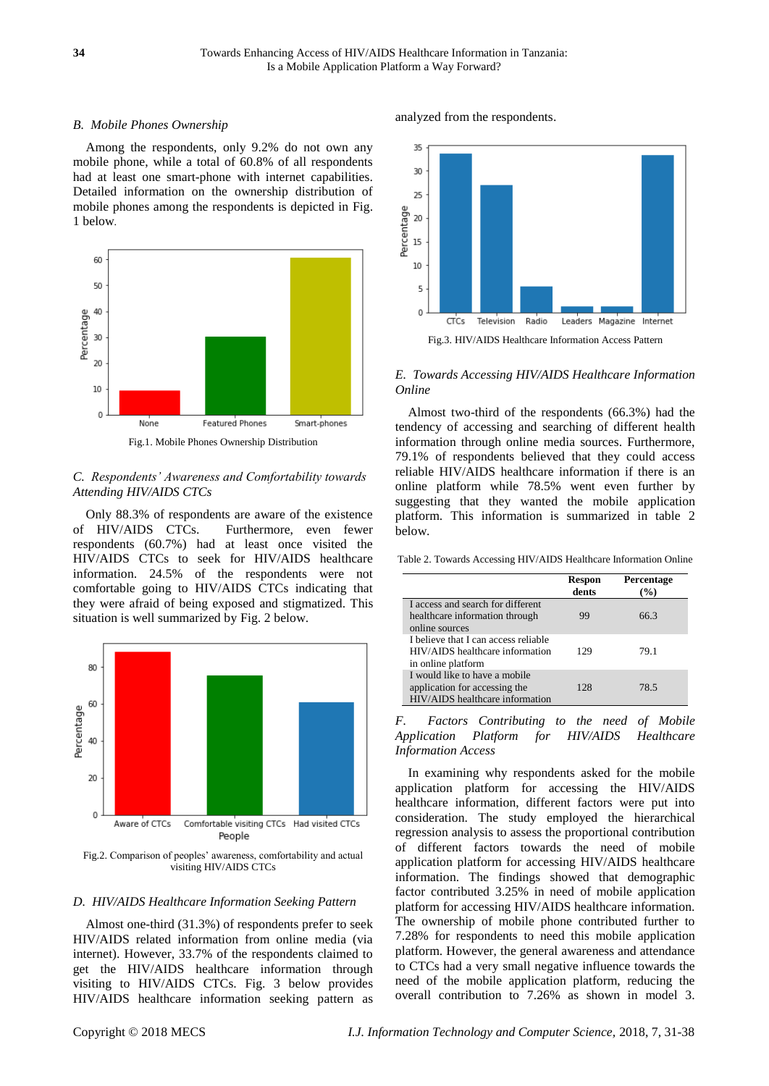## *B. Mobile Phones Ownership*

Among the respondents, only 9.2% do not own any mobile phone, while a total of 60.8% of all respondents had at least one smart-phone with internet capabilities. Detailed information on the ownership distribution of mobile phones among the respondents is depicted in Fig. 1 below.



# *C. Respondents' Awareness and Comfortability towards Attending HIV/AIDS CTCs*

Only 88.3% of respondents are aware of the existence of HIV/AIDS CTCs. Furthermore, even fewer respondents (60.7%) had at least once visited the HIV/AIDS CTCs to seek for HIV/AIDS healthcare information. 24.5% of the respondents were not comfortable going to HIV/AIDS CTCs indicating that they were afraid of being exposed and stigmatized. This situation is well summarized by Fig. 2 below.



Fig.2. Comparison of peoples' awareness, comfortability and actual visiting HIV/AIDS CTCs

## *D. HIV/AIDS Healthcare Information Seeking Pattern*

Almost one-third (31.3%) of respondents prefer to seek HIV/AIDS related information from online media (via internet). However, 33.7% of the respondents claimed to get the HIV/AIDS healthcare information through visiting to HIV/AIDS CTCs. Fig. 3 below provides HIV/AIDS healthcare information seeking pattern as

analyzed from the respondents.



## *E. Towards Accessing HIV/AIDS Healthcare Information Online*

Almost two-third of the respondents (66.3%) had the tendency of accessing and searching of different health information through online media sources. Furthermore, 79.1% of respondents believed that they could access reliable HIV/AIDS healthcare information if there is an online platform while 78.5% went even further by suggesting that they wanted the mobile application platform. This information is summarized in table 2 below.

Table 2. Towards Accessing HIV/AIDS Healthcare Information Online

|                                                                                                   | <b>Respon</b><br>dents | Percentage<br>$($ %) |
|---------------------------------------------------------------------------------------------------|------------------------|----------------------|
| I access and search for different<br>healthcare information through.<br>online sources            | 99                     | 66.3                 |
| I believe that I can access reliable<br>HIV/AIDS healthcare information<br>in online platform     | 129                    | 79.1                 |
| I would like to have a mobile<br>application for accessing the<br>HIV/AIDS healthcare information | 12.8                   | 78.5                 |

*F. Factors Contributing to the need of Mobile Application Platform for HIV/AIDS Healthcare Information Access*

In examining why respondents asked for the mobile application platform for accessing the HIV/AIDS healthcare information, different factors were put into consideration. The study employed the hierarchical regression analysis to assess the proportional contribution of different factors towards the need of mobile application platform for accessing HIV/AIDS healthcare information. The findings showed that demographic factor contributed 3.25% in need of mobile application platform for accessing HIV/AIDS healthcare information. The ownership of mobile phone contributed further to 7.28% for respondents to need this mobile application platform. However, the general awareness and attendance to CTCs had a very small negative influence towards the need of the mobile application platform, reducing the overall contribution to 7.26% as shown in model 3.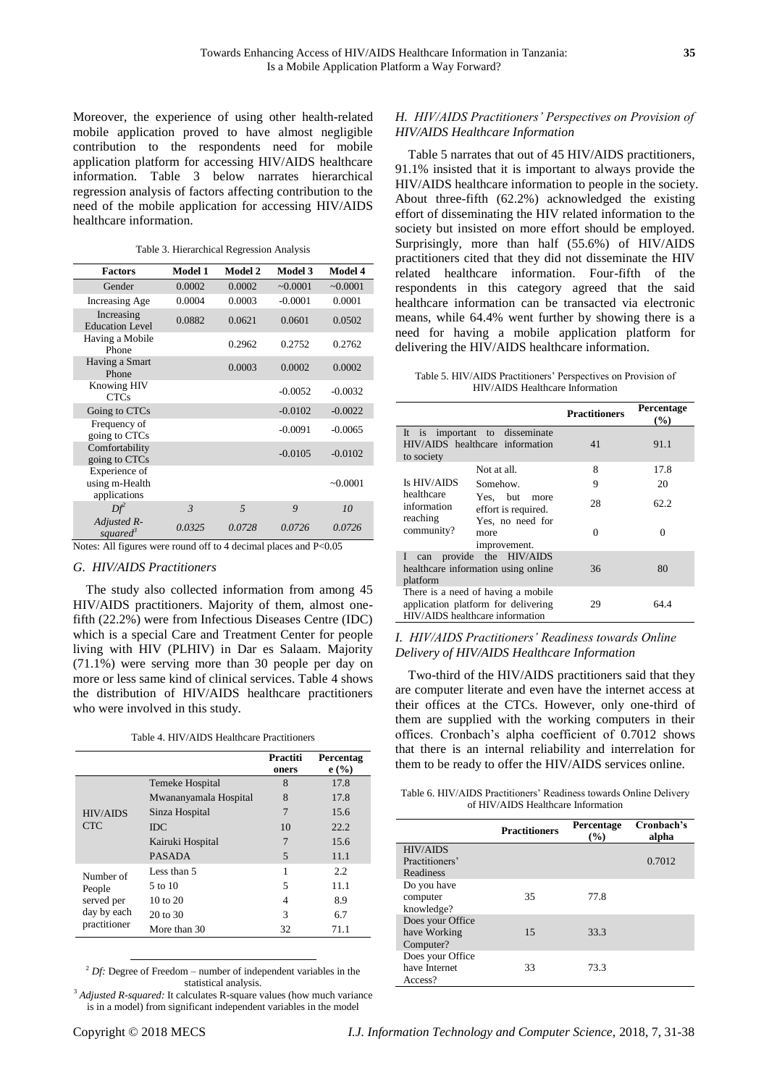Moreover, the experience of using other health-related mobile application proved to have almost negligible contribution to the respondents need for mobile application platform for accessing HIV/AIDS healthcare information. Table 3 below narrates hierarchical regression analysis of factors affecting contribution to the need of the mobile application for accessing HIV/AIDS healthcare information.

Table 3. Hierarchical Regression Analysis

| <b>Factors</b>                                  | <b>Model 1</b> | Model 2        | Model 3   | Model 4   |
|-------------------------------------------------|----------------|----------------|-----------|-----------|
| Gender                                          | 0.0002         | 0.0002         | $-0.0001$ | ~10.0001  |
| <b>Increasing Age</b>                           | 0.0004         | 0.0003         | $-0.0001$ | 0.0001    |
| Increasing<br><b>Education Level</b>            | 0.0882         | 0.0621         | 0.0601    | 0.0502    |
| Having a Mobile<br>Phone                        |                | 0.2962         | 0.2752    | 0.2762    |
| Having a Smart<br>Phone                         |                | 0.0003         | 0.0002    | 0.0002    |
| Knowing HIV<br><b>CTCs</b>                      |                |                | $-0.0052$ | $-0.0032$ |
| Going to CTCs                                   |                |                | $-0.0102$ | $-0.0022$ |
| Frequency of<br>going to CTCs                   |                |                | $-0.0091$ | $-0.0065$ |
| Comfortability<br>going to CTCs                 |                |                | $-0.0105$ | $-0.0102$ |
| Experience of<br>using m-Health<br>applications |                |                |           | $-0.0001$ |
| $Df^2$                                          | $\overline{3}$ | $\overline{5}$ | 9         | 10        |
| Adjusted R-<br>squared <sup>3</sup>             | 0.0325         | 0.0728         | 0.0726    | 0.0726    |

Notes: All figures were round off to 4 decimal places and P<0.05

#### *G. HIV/AIDS Practitioners*

The study also collected information from among 45 HIV/AIDS practitioners. Majority of them, almost onefifth (22.2%) were from Infectious Diseases Centre (IDC) which is a special Care and Treatment Center for people living with HIV (PLHIV) in Dar es Salaam. Majority (71.1%) were serving more than 30 people per day on more or less same kind of clinical services. Table 4 shows the distribution of HIV/AIDS healthcare practitioners who were involved in this study.

|  | Table 4. HIV/AIDS Healthcare Practitioners |
|--|--------------------------------------------|
|--|--------------------------------------------|

|                                           |                       | Practiti<br>oners | <b>Percentag</b><br>e(%) |
|-------------------------------------------|-----------------------|-------------------|--------------------------|
|                                           | Temeke Hospital       | 8                 | 17.8                     |
|                                           | Mwananyamala Hospital | 8                 | 17.8                     |
| <b>HIV/AIDS</b>                           | Sinza Hospital        | $\overline{7}$    | 15.6                     |
| <b>CTC</b>                                | <b>IDC</b>            | 10                | 22.2                     |
|                                           | Kairuki Hospital      | 7                 | 15.6                     |
|                                           | <b>PASADA</b>         | $\overline{5}$    | 11.1                     |
| Number of                                 | Less than 5           | 1                 | 2.2                      |
| People                                    | 5 to 10               | 5                 | 11.1                     |
| served per<br>day by each<br>practitioner | $10 \text{ to } 20$   | 4                 | 8.9                      |
|                                           | $20 \text{ to } 30$   | 3                 | 6.7                      |
|                                           | More than 30          | 32                | 71.1                     |

<sup>2</sup> *Df:* Degree of Freedom – number of independent variables in the statistical analysis.

<sup>3</sup> Adjusted R-squared: It calculates R-square values (how much variance is in a model) from significant independent variables in the model

#### *H. HIV/AIDS Practitioners' Perspectives on Provision of HIV/AIDS Healthcare Information*

Table 5 narrates that out of 45 HIV/AIDS practitioners, 91.1% insisted that it is important to always provide the HIV/AIDS healthcare information to people in the society. About three-fifth (62.2%) acknowledged the existing effort of disseminating the HIV related information to the society but insisted on more effort should be employed. Surprisingly, more than half (55.6%) of HIV/AIDS practitioners cited that they did not disseminate the HIV related healthcare information. Four-fifth of the respondents in this category agreed that the said healthcare information can be transacted via electronic means, while 64.4% went further by showing there is a need for having a mobile application platform for delivering the HIV/AIDS healthcare information.

Table 5. HIV/AIDS Practitioners' Perspectives on Provision of HIV/AIDS Healthcare Information

|                                                                                                               |                                          | <b>Practitioners</b> | Percentage<br>$($ %) |
|---------------------------------------------------------------------------------------------------------------|------------------------------------------|----------------------|----------------------|
| It is important to disseminate<br>HIV/AIDS healthcare information<br>to society                               |                                          | 41                   | 91.1                 |
|                                                                                                               | Not at all.                              | 8                    | 17.8                 |
| <b>Is HIV/AIDS</b>                                                                                            | Somehow.                                 | 9                    | 20                   |
| healthcare<br>information<br>reaching<br>community?                                                           | Yes, but more<br>effort is required.     | 28                   | 62.2                 |
|                                                                                                               | Yes, no need for<br>more<br>improvement. | 0                    | 0                    |
| provide the HIV/AIDS<br>I<br>can<br>healthcare information using online<br>platform                           |                                          | 36                   | 80                   |
| There is a need of having a mobile.<br>application platform for delivering<br>HIV/AIDS healthcare information |                                          | 29                   | 64 4                 |

*I. HIV/AIDS Practitioners' Readiness towards Online Delivery of HIV/AIDS Healthcare Information*

Two-third of the HIV/AIDS practitioners said that they are computer literate and even have the internet access at their offices at the CTCs. However, only one-third of them are supplied with the working computers in their offices. Cronbach's alpha coefficient of 0.7012 shows that there is an internal reliability and interrelation for them to be ready to offer the HIV/AIDS services online.

Table 6. HIV/AIDS Practitioners' Readiness towards Online Delivery of HIV/AIDS Healthcare Information

|                  | <b>Practitioners</b> | Percentage<br>$($ %) | Cronbach's<br>alpha |
|------------------|----------------------|----------------------|---------------------|
| <b>HIV/AIDS</b>  |                      |                      |                     |
| Practitioners'   |                      |                      | 0.7012              |
| Readiness        |                      |                      |                     |
| Do you have      |                      |                      |                     |
| computer         | 35                   | 77.8                 |                     |
| knowledge?       |                      |                      |                     |
| Does your Office |                      |                      |                     |
| have Working     | 15                   | 33.3                 |                     |
| Computer?        |                      |                      |                     |
| Does your Office |                      |                      |                     |
| have Internet    | 33                   | 73.3                 |                     |
| Access?          |                      |                      |                     |

1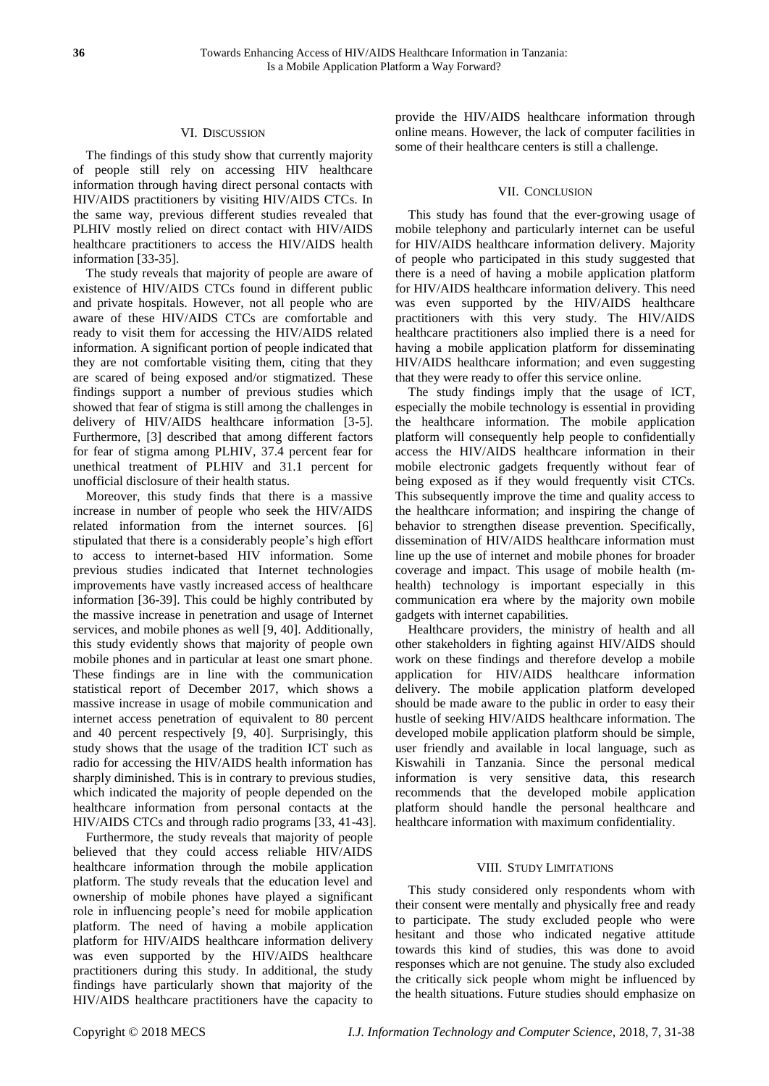# VI. DISCUSSION

The findings of this study show that currently majority of people still rely on accessing HIV healthcare information through having direct personal contacts with HIV/AIDS practitioners by visiting HIV/AIDS CTCs. In the same way, previous different studies revealed that PLHIV mostly relied on direct contact with HIV/AIDS healthcare practitioners to access the HIV/AIDS health information [33-35].

The study reveals that majority of people are aware of existence of HIV/AIDS CTCs found in different public and private hospitals. However, not all people who are aware of these HIV/AIDS CTCs are comfortable and ready to visit them for accessing the HIV/AIDS related information. A significant portion of people indicated that they are not comfortable visiting them, citing that they are scared of being exposed and/or stigmatized. These findings support a number of previous studies which showed that fear of stigma is still among the challenges in delivery of HIV/AIDS healthcare information [3-5]. Furthermore, [3] described that among different factors for fear of stigma among PLHIV, 37.4 percent fear for unethical treatment of PLHIV and 31.1 percent for unofficial disclosure of their health status.

Moreover, this study finds that there is a massive increase in number of people who seek the HIV/AIDS related information from the internet sources. [6] stipulated that there is a considerably people's high effort to access to internet-based HIV information. Some previous studies indicated that Internet technologies improvements have vastly increased access of healthcare information [36-39]. This could be highly contributed by the massive increase in penetration and usage of Internet services, and mobile phones as well [9, 40]. Additionally, this study evidently shows that majority of people own mobile phones and in particular at least one smart phone. These findings are in line with the communication statistical report of December 2017, which shows a massive increase in usage of mobile communication and internet access penetration of equivalent to 80 percent and 40 percent respectively [9, 40]. Surprisingly, this study shows that the usage of the tradition ICT such as radio for accessing the HIV/AIDS health information has sharply diminished. This is in contrary to previous studies, which indicated the majority of people depended on the healthcare information from personal contacts at the HIV/AIDS CTCs and through radio programs [33, 41-43].

Furthermore, the study reveals that majority of people believed that they could access reliable HIV/AIDS healthcare information through the mobile application platform. The study reveals that the education level and ownership of mobile phones have played a significant role in influencing people's need for mobile application platform. The need of having a mobile application platform for HIV/AIDS healthcare information delivery was even supported by the HIV/AIDS healthcare practitioners during this study. In additional, the study findings have particularly shown that majority of the HIV/AIDS healthcare practitioners have the capacity to

provide the HIV/AIDS healthcare information through online means. However, the lack of computer facilities in some of their healthcare centers is still a challenge.

# VII. CONCLUSION

This study has found that the ever-growing usage of mobile telephony and particularly internet can be useful for HIV/AIDS healthcare information delivery. Majority of people who participated in this study suggested that there is a need of having a mobile application platform for HIV/AIDS healthcare information delivery. This need was even supported by the HIV/AIDS healthcare practitioners with this very study. The HIV/AIDS healthcare practitioners also implied there is a need for having a mobile application platform for disseminating HIV/AIDS healthcare information; and even suggesting that they were ready to offer this service online.

The study findings imply that the usage of ICT, especially the mobile technology is essential in providing the healthcare information. The mobile application platform will consequently help people to confidentially access the HIV/AIDS healthcare information in their mobile electronic gadgets frequently without fear of being exposed as if they would frequently visit CTCs. This subsequently improve the time and quality access to the healthcare information; and inspiring the change of behavior to strengthen disease prevention. Specifically, dissemination of HIV/AIDS healthcare information must line up the use of internet and mobile phones for broader coverage and impact. This usage of mobile health (mhealth) technology is important especially in this communication era where by the majority own mobile gadgets with internet capabilities.

Healthcare providers, the ministry of health and all other stakeholders in fighting against HIV/AIDS should work on these findings and therefore develop a mobile application for HIV/AIDS healthcare information delivery. The mobile application platform developed should be made aware to the public in order to easy their hustle of seeking HIV/AIDS healthcare information. The developed mobile application platform should be simple, user friendly and available in local language, such as Kiswahili in Tanzania. Since the personal medical information is very sensitive data, this research recommends that the developed mobile application platform should handle the personal healthcare and healthcare information with maximum confidentiality.

# VIII. STUDY LIMITATIONS

This study considered only respondents whom with their consent were mentally and physically free and ready to participate. The study excluded people who were hesitant and those who indicated negative attitude towards this kind of studies, this was done to avoid responses which are not genuine. The study also excluded the critically sick people whom might be influenced by the health situations. Future studies should emphasize on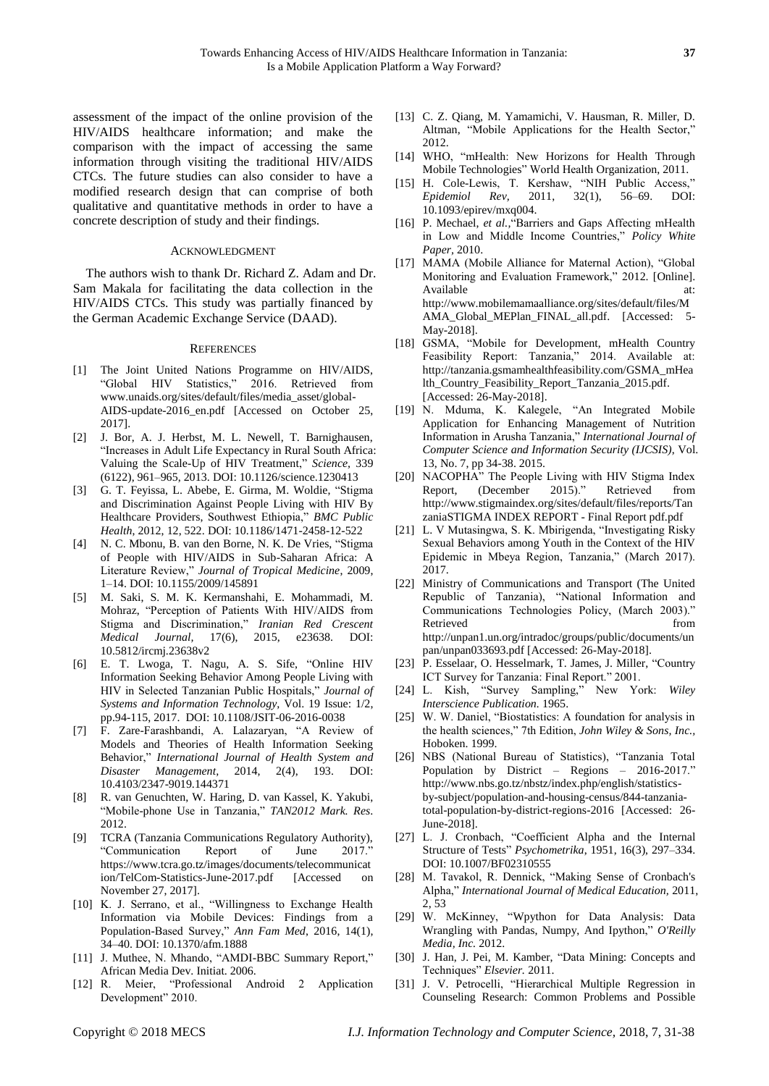assessment of the impact of the online provision of the HIV/AIDS healthcare information; and make the comparison with the impact of accessing the same information through visiting the traditional HIV/AIDS CTCs. The future studies can also consider to have a modified research design that can comprise of both qualitative and quantitative methods in order to have a concrete description of study and their findings.

### ACKNOWLEDGMENT

The authors wish to thank Dr. Richard Z. Adam and Dr. Sam Makala for facilitating the data collection in the HIV/AIDS CTCs. This study was partially financed by the German Academic Exchange Service (DAAD).

#### **REFERENCES**

- [1] The Joint United Nations Programme on HIV/AIDS, "Global HIV Statistics," 2016. Retrieved from [www.unaids.org/sites/default/files/media\\_asset/global-](http://www.unaids.org/sites/default/files/media_asset/global-AIDS-update-2016_en.pdf)[AIDS-update-2016\\_en.pdf](http://www.unaids.org/sites/default/files/media_asset/global-AIDS-update-2016_en.pdf) [Accessed on October 25, 2017].
- [2] J. Bor, A. J. Herbst, M. L. Newell, T. Barnighausen, "Increases in Adult Life Expectancy in Rural South Africa: Valuing the Scale-Up of HIV Treatment," *Science,* 339 (6122), 961–965, 2013. DOI: [10.1126/science.1230413](http://doi.org/10.1126/science.1230413)
- [3] G. T. Feyissa, L. Abebe, E. Girma, M. Woldie, "Stigma and Discrimination Against People Living with HIV By Healthcare Providers, Southwest Ethiopia," *BMC Public Health*, 2012, 12, 522. [DOI: 10.1186/1471-2458-12-522](https://doi.org/http:/dx.doi.org/10.1186/1471-2458-12-522)
- [4] N. C. Mbonu, B. van den Borne, N. K. De Vries, "Stigma of People with HIV/AIDS in Sub-Saharan Africa: A Literature Review," *Journal of Tropical Medicine*, 2009, 1–14[. DOI: 10.1155/2009/145891](https://doi.org/10.1155/2009/145891)
- [5] M. Saki, S. M. K. Kermanshahi, E. Mohammadi, M. Mohraz, "Perception of Patients With HIV/AIDS from Stigma and Discrimination," *Iranian Red Crescent Medical Journal,* 17(6), 2015, e23638. DOI: [10.5812/ircmj.23638v2](https://doi.org/10.5812/ircmj.23638v2)
- [6] E. T. Lwoga, T. Nagu, A. S. Sife, "Online HIV Information Seeking Behavior Among People Living with HIV in Selected Tanzanian Public Hospitals," *Journal of Systems and Information Technology,* Vol. 19 Issue: 1/2, pp.94-115, 2017. [DOI: 10.1108/JSIT-06-2016-0038](https://doi.org/10.1108/JSIT-06-2016-0038)
- [7] F. Zare-Farashbandi, A. Lalazaryan, "A Review of Models and Theories of Health Information Seeking Behavior," *International Journal of Health System and Disaster Management,* 2014, 2(4), 193. [DOI:](http://doi.org/10.4103/2347-9019.144371)  [10.4103/2347-9019.144371](http://doi.org/10.4103/2347-9019.144371)
- [8] R. van Genuchten, W. Haring, D. van Kassel, K. Yakubi, "Mobile-phone Use in Tanzania," *TAN2012 Mark. Res*. 2012.
- [9] TCRA (Tanzania Communications Regulatory Authority), "Communication Report of June 2017." [https://www.tcra.go.tz/images/documents/telecommunicat](https://www.tcra.go.tz/images/documents/telecommunication/TelCom-Statistics-June-2017.pdf) [ion/TelCom-Statistics-June-2017.pdf](https://www.tcra.go.tz/images/documents/telecommunication/TelCom-Statistics-June-2017.pdf) [Accessed on November 27, 2017].
- [10] K. J. Serrano, et al., "Willingness to Exchange Health Information via Mobile Devices: Findings from a Population-Based Survey," *Ann Fam Med*, 2016, 14(1), 34–40. [DOI: 10.1370/afm.1888](https://doi.org/10.1370/afm.1888)
- [11] J. Muthee, N. Mhando, "AMDI-BBC Summary Report," African Media Dev. Initiat. 2006.
- [12] R. Meier, "Professional Android 2 Application Development" 2010.
- [13] C. Z. Qiang, M. Yamamichi, V. Hausman, R. Miller, D. Altman, "Mobile Applications for the Health Sector," 2012.
- [14] WHO, "mHealth: New Horizons for Health Through Mobile Technologies" World Health Organization, 2011.
- [15] H. Cole-Lewis, T. Kershaw, "NIH Public Access." *Epidemiol Rev,* 2011, 32(1), 56–69. [DOI:](https://doi.org/10.1093/epirev/mxq004)  [10.1093/epirev/mxq004.](https://doi.org/10.1093/epirev/mxq004)
- [16] P. Mechael, et al., "Barriers and Gaps Affecting mHealth in Low and Middle Income Countries," *Policy White Paper,* 2010.
- [17] MAMA (Mobile Alliance for Maternal Action), "Global Monitoring and Evaluation Framework," 2012. [Online]. Available at: [http://www.mobilemamaalliance.org/sites/default/files/M](http://www.mobilemamaalliance.org/sites/default/files/MAMA_Global_MEPlan_FINAL_all.pdf) [AMA\\_Global\\_MEPlan\\_FINAL\\_all.pdf.](http://www.mobilemamaalliance.org/sites/default/files/MAMA_Global_MEPlan_FINAL_all.pdf) [Accessed: 5- May-2018].
- [18] GSMA, "Mobile for Development, mHealth Country Feasibility Report: Tanzania," 2014. Available at: [http://tanzania.gsmamhealthfeasibility.com/GSMA\\_mHea](http://tanzania.gsmamhealthfeasibility.com/GSMA_mHealth_Country_Feasibility_Report_Tanzania_2015.pdf) [lth\\_Country\\_Feasibility\\_Report\\_Tanzania\\_2015.pdf.](http://tanzania.gsmamhealthfeasibility.com/GSMA_mHealth_Country_Feasibility_Report_Tanzania_2015.pdf) [Accessed: 26-May-2018].
- [19] N. Mduma, K. Kalegele, "An Integrated Mobile Application for Enhancing Management of Nutrition Information in Arusha Tanzania," *International Journal of Computer Science and Information Security (IJCSIS)*, Vol. 13, No. 7, pp 34-38. 2015.
- [20] NACOPHA" The People Living with HIV Stigma Index<br>Report, (December 2015)." Retrieved from Report, (December 2015)." Retrieved from http://www.stigmaindex.org/sites/default/files/reports/Tan zaniaSTIGMA INDEX REPORT - Final Report pdf.pdf
- [21] L. V Mutasingwa, S. K. Mbirigenda, "Investigating Risky Sexual Behaviors among Youth in the Context of the HIV Epidemic in Mbeya Region, Tanzania," (March 2017). 2017.
- [22] Ministry of Communications and Transport (The United Republic of Tanzania), "National Information and Communications Technologies Policy, (March 2003)." Retrieved from the state of  $\sim$ [http://unpan1.un.org/intradoc/groups/public/documents/un](http://unpan1.un.org/intradoc/groups/public/documents/unpan/unpan033693.pdf) [pan/unpan033693.pdf](http://unpan1.un.org/intradoc/groups/public/documents/unpan/unpan033693.pdf) [Accessed: 26-May-2018].
- [23] P. Esselaar, O. Hesselmark, T. James, J. Miller, "Country ICT Survey for Tanzania: Final Report." 2001.
- [24] L. Kish, "Survey Sampling," New York: *Wiley Interscience Publication.* 1965.
- [25] W. W. Daniel, "Biostatistics: A foundation for analysis in the health sciences," 7th Edition, *John Wiley & Sons, Inc.,* Hoboken. 1999.
- [26] NBS (National Bureau of Statistics), "Tanzania Total Population by District – Regions – 2016-2017." [http://www.nbs.go.tz/nbstz/index.php/english/statistics](http://www.nbs.go.tz/nbstz/index.php/english/statistics-by-subject/population-and-housing-census/844-tanzania-total-population-by-district-regions-2016)[by-subject/population-and-housing-census/844-tanzania](http://www.nbs.go.tz/nbstz/index.php/english/statistics-by-subject/population-and-housing-census/844-tanzania-total-population-by-district-regions-2016)[total-population-by-district-regions-2016](http://www.nbs.go.tz/nbstz/index.php/english/statistics-by-subject/population-and-housing-census/844-tanzania-total-population-by-district-regions-2016) [Accessed: 26- June-2018].
- [27] L. J. Cronbach, "Coefficient Alpha and the Internal Structure of Tests" *Psychometrika*, 1951, 16(3), 297–334. [DOI: 10.1007/BF02310555](http://doi.org/10.1007/BF02310555)
- [28] M. Tavakol, R. Dennick, "Making Sense of Cronbach's Alpha," *International Journal of Medical Education,* 2011, 2, 53
- [29] W. McKinney, "Wpython for Data Analysis: Data Wrangling with Pandas, Numpy, And Ipython," *O'Reilly Media, Inc.* 2012.
- [30] J. Han, J. Pei, M. Kamber, "Data Mining: Concepts and Techniques" *Elsevier.* 2011.
- [31] J. V. Petrocelli, "Hierarchical Multiple Regression in Counseling Research: Common Problems and Possible